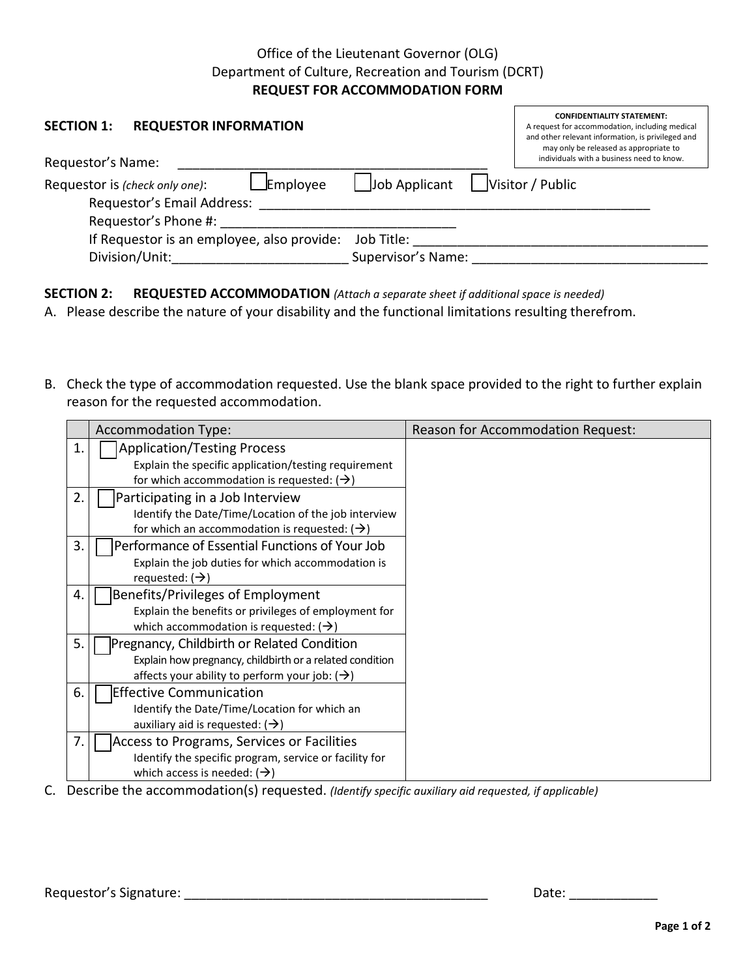## Office of the Lieutenant Governor (OLG) Department of Culture, Recreation and Tourism (DCRT) **REQUEST FOR ACCOMMODATION FORM**

| <b>REQUESTOR INFORMATION</b><br><b>SECTION 1:</b>                               |                    | <b>CONFIDENTIALITY STATEMENT:</b><br>A request for accommodation, including medical<br>and other relevant information, is privileged and<br>may only be released as appropriate to<br>individuals with a business need to know. |
|---------------------------------------------------------------------------------|--------------------|---------------------------------------------------------------------------------------------------------------------------------------------------------------------------------------------------------------------------------|
| Requestor's Name:                                                               |                    |                                                                                                                                                                                                                                 |
| <b>Employee</b><br>Requestor is (check only one):<br>Requestor's Email Address: | Job Applicant      | Visitor / Public                                                                                                                                                                                                                |
| Requestor's Phone #:                                                            |                    |                                                                                                                                                                                                                                 |
| If Requestor is an employee, also provide:                                      | Job Title:         |                                                                                                                                                                                                                                 |
| Division/Unit:                                                                  | Supervisor's Name: |                                                                                                                                                                                                                                 |

**SECTION 2: REQUESTED ACCOMMODATION** *(Attach a separate sheet if additional space is needed)*

A. Please describe the nature of your disability and the functional limitations resulting therefrom.

B. Check the type of accommodation requested. Use the blank space provided to the right to further explain reason for the requested accommodation.

|    | <b>Accommodation Type:</b>                                | Reason for Accommodation Request: |
|----|-----------------------------------------------------------|-----------------------------------|
| 1. | <b>Application/Testing Process</b>                        |                                   |
|    | Explain the specific application/testing requirement      |                                   |
|    | for which accommodation is requested: $(\rightarrow)$     |                                   |
| 2. | Participating in a Job Interview                          |                                   |
|    | Identify the Date/Time/Location of the job interview      |                                   |
|    | for which an accommodation is requested: $(\rightarrow)$  |                                   |
| 3. | Performance of Essential Functions of Your Job            |                                   |
|    | Explain the job duties for which accommodation is         |                                   |
|    | requested: $(\rightarrow)$                                |                                   |
| 4. | Benefits/Privileges of Employment                         |                                   |
|    | Explain the benefits or privileges of employment for      |                                   |
|    | which accommodation is requested: $(\rightarrow)$         |                                   |
| 5. | Pregnancy, Childbirth or Related Condition                |                                   |
|    | Explain how pregnancy, childbirth or a related condition  |                                   |
|    | affects your ability to perform your job: $(\rightarrow)$ |                                   |
| 6. | <b>Effective Communication</b>                            |                                   |
|    | Identify the Date/Time/Location for which an              |                                   |
|    | auxiliary aid is requested: $(\rightarrow)$               |                                   |
| 7. | Access to Programs, Services or Facilities                |                                   |
|    | Identify the specific program, service or facility for    |                                   |
|    | which access is needed: $(\rightarrow)$                   |                                   |

C. Describe the accommodation(s) requested. *(Identify specific auxiliary aid requested, if applicable)*